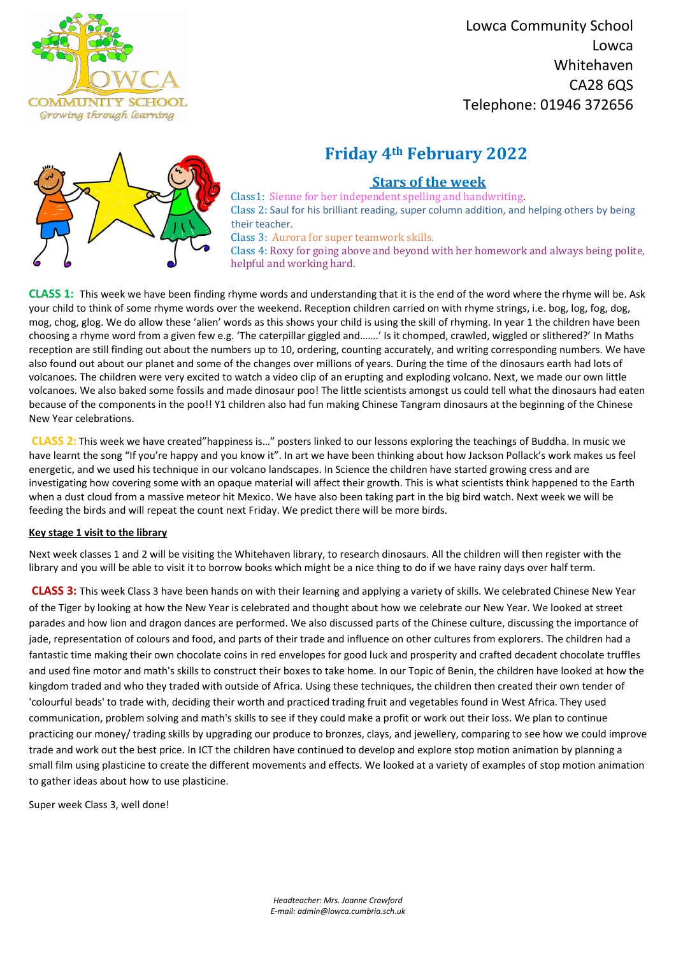

 Lowca Community School Lowca Whitehaven CA28 6QS Telephone: 01946 372656

*Headteacher: Mrs. Joanne Crawford E-mail: admin@lowca.cumbria.sch.uk*

# **Friday 4th February 2022**



## **Stars of the week**

Class1: Sienne for her independent spelling and handwriting. Class 2: Saul for his brilliant reading, super column addition, and helping others by being their teacher.

Class 3: Aurora for super teamwork skills.

Class 4: Roxy for going above and beyond with her homework and always being polite, helpful and working hard.

**CLASS 1:** This week we have been finding rhyme words and understanding that it is the end of the word where the rhyme will be. Ask your child to think of some rhyme words over the weekend. Reception children carried on with rhyme strings, i.e. bog, log, fog, dog, mog, chog, glog. We do allow these 'alien' words as this shows your child is using the skill of rhyming. In year 1 the children have been choosing a rhyme word from a given few e.g. 'The caterpillar giggled and…….' Is it chomped, crawled, wiggled or slithered?' In Maths reception are still finding out about the numbers up to 10, ordering, counting accurately, and writing corresponding numbers. We have also found out about our planet and some of the changes over millions of years. During the time of the dinosaurs earth had lots of volcanoes. The children were very excited to watch a video clip of an erupting and exploding volcano. Next, we made our own little volcanoes. We also baked some fossils and made dinosaur poo! The little scientists amongst us could tell what the dinosaurs had eaten because of the components in the poo!! Y1 children also had fun making Chinese Tangram dinosaurs at the beginning of the Chinese New Year celebrations.

**CLASS 2:** This week we have created"happiness is…" posters linked to our lessons exploring the teachings of Buddha. In music we have learnt the song "If you're happy and you know it". In art we have been thinking about how Jackson Pollack's work makes us feel energetic, and we used his technique in our volcano landscapes. In Science the children have started growing cress and are investigating how covering some with an opaque material will affect their growth. This is what scientists think happened to the Earth when a dust cloud from a massive meteor hit Mexico. We have also been taking part in the big bird watch. Next week we will be feeding the birds and will repeat the count next Friday. We predict there will be more birds.

### **Key stage 1 visit to the library**

Next week classes 1 and 2 will be visiting the Whitehaven library, to research dinosaurs. All the children will then register with the library and you will be able to visit it to borrow books which might be a nice thing to do if we have rainy days over half term.

**CLASS 3:** This week Class 3 have been hands on with their learning and applying a variety of skills. We celebrated Chinese New Year of the Tiger by looking at how the New Year is celebrated and thought about how we celebrate our New Year. We looked at street parades and how lion and dragon dances are performed. We also discussed parts of the Chinese culture, discussing the importance of jade, representation of colours and food, and parts of their trade and influence on other cultures from explorers. The children had a fantastic time making their own chocolate coins in red envelopes for good luck and prosperity and crafted decadent chocolate truffles and used fine motor and math's skills to construct their boxes to take home. In our Topic of Benin, the children have looked at how the kingdom traded and who they traded with outside of Africa. Using these techniques, the children then created their own tender of 'colourful beads' to trade with, deciding their worth and practiced trading fruit and vegetables found in West Africa. They used communication, problem solving and math's skills to see if they could make a profit or work out their loss. We plan to continue practicing our money/ trading skills by upgrading our produce to bronzes, clays, and jewellery, comparing to see how we could improve trade and work out the best price. In ICT the children have continued to develop and explore stop motion animation by planning a small film using plasticine to create the different movements and effects. We looked at a variety of examples of stop motion animation to gather ideas about how to use plasticine.

Super week Class 3, well done!